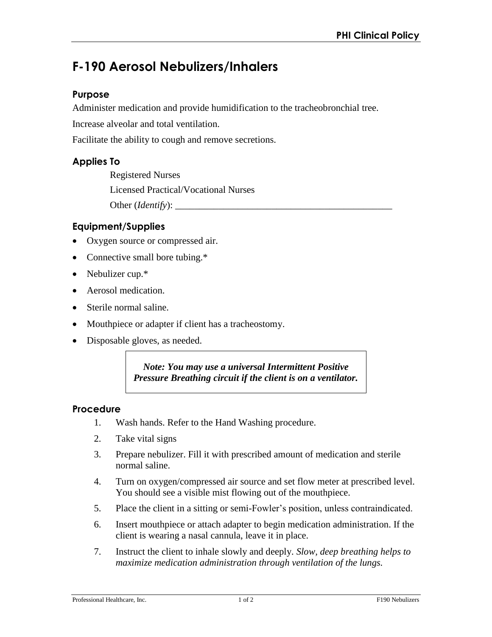# **F-190 Aerosol Nebulizers/Inhalers**

## **Purpose**

Administer medication and provide humidification to the tracheobronchial tree.

Increase alveolar and total ventilation.

Facilitate the ability to cough and remove secretions.

## **Applies To**

Registered Nurses Licensed Practical/Vocational Nurses Other (*Identify*): \_\_\_\_\_\_\_\_\_\_\_\_\_\_\_\_\_\_\_\_\_\_\_\_\_\_\_\_\_\_\_\_\_\_\_\_\_\_\_\_\_\_\_\_\_

## **Equipment/Supplies**

- Oxygen source or compressed air.
- Connective small bore tubing.\*
- Nebulizer cup.\*
- Aerosol medication.
- Sterile normal saline.
- Mouthpiece or adapter if client has a tracheostomy.
- Disposable gloves, as needed.

*Note: You may use a universal Intermittent Positive Pressure Breathing circuit if the client is on a ventilator.* 

#### **Procedure**

- 1. Wash hands. Refer to the Hand Washing procedure.
- 2. Take vital signs
- 3. Prepare nebulizer. Fill it with prescribed amount of medication and sterile normal saline.
- 4. Turn on oxygen/compressed air source and set flow meter at prescribed level. You should see a visible mist flowing out of the mouthpiece.
- 5. Place the client in a sitting or semi-Fowler's position, unless contraindicated.
- 6. Insert mouthpiece or attach adapter to begin medication administration. If the client is wearing a nasal cannula, leave it in place.
- 7. Instruct the client to inhale slowly and deeply. *Slow, deep breathing helps to maximize medication administration through ventilation of the lungs.*